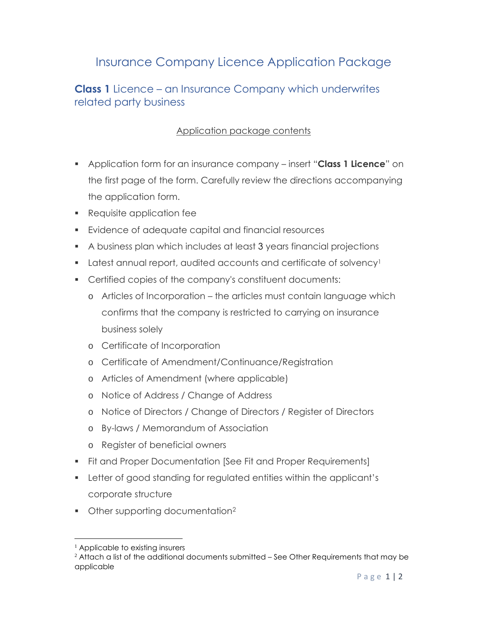# Insurance Company Licence Application Package

## **Class 1** Licence – an Insurance Company which underwrites related party business

### Application package contents

- Application form for an insurance company insert "**Class 1 Licence**" on the first page of the form. Carefully review the directions accompanying the application form.
- Requisite application fee
- Evidence of adequate capital and financial resources
- A business plan which includes at least 3 years financial projections
- Latest annual report, audited accounts and certificate of solvency<sup>1</sup>
- Certified copies of the company's constituent documents:
	- o Articles of Incorporation the articles must contain language which confirms that the company is restricted to carrying on insurance business solely
	- o Certificate of Incorporation
	- o Certificate of Amendment/Continuance/Registration
	- o Articles of Amendment (where applicable)
	- o Notice of Address / Change of Address
	- o Notice of Directors / Change of Directors / Register of Directors
	- o By-laws / Memorandum of Association
	- o Register of beneficial owners
- **Fit and Proper Documentation [See Fit and Proper Requirements]**
- Letter of good standing for regulated entities within the applicant's corporate structure
- Other supporting documentation<sup>2</sup>

<sup>&</sup>lt;sup>1</sup> Applicable to existing insurers

<sup>&</sup>lt;sup>2</sup> Attach a list of the additional documents submitted – See Other Requirements that may be applicable